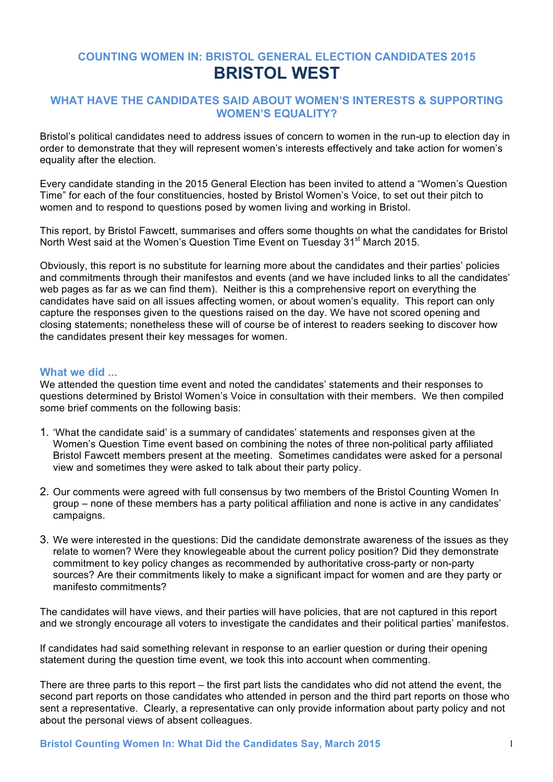# **COUNTING WOMEN IN: BRISTOL GENERAL ELECTION CANDIDATES 2015 BRISTOL WEST**

#### **WHAT HAVE THE CANDIDATES SAID ABOUT WOMEN'S INTERESTS & SUPPORTING WOMEN'S EQUALITY?**

Bristol's political candidates need to address issues of concern to women in the run-up to election day in order to demonstrate that they will represent women's interests effectively and take action for women's equality after the election.

Every candidate standing in the 2015 General Election has been invited to attend a "Women's Question Time" for each of the four constituencies, hosted by Bristol Women's Voice, to set out their pitch to women and to respond to questions posed by women living and working in Bristol.

This report, by Bristol Fawcett, summarises and offers some thoughts on what the candidates for Bristol North West said at the Women's Question Time Event on Tuesday 31<sup>st</sup> March 2015.

Obviously, this report is no substitute for learning more about the candidates and their parties' policies and commitments through their manifestos and events (and we have included links to all the candidates' web pages as far as we can find them). Neither is this a comprehensive report on everything the candidates have said on all issues affecting women, or about women's equality. This report can only capture the responses given to the questions raised on the day. We have not scored opening and closing statements; nonetheless these will of course be of interest to readers seeking to discover how the candidates present their key messages for women.

#### **What we did ...**

We attended the question time event and noted the candidates' statements and their responses to questions determined by Bristol Women's Voice in consultation with their members. We then compiled some brief comments on the following basis:

- 1. 'What the candidate said' is a summary of candidates' statements and responses given at the Women's Question Time event based on combining the notes of three non-political party affiliated Bristol Fawcett members present at the meeting. Sometimes candidates were asked for a personal view and sometimes they were asked to talk about their party policy.
- 2. Our comments were agreed with full consensus by two members of the Bristol Counting Women In group – none of these members has a party political affiliation and none is active in any candidates' campaigns.
- 3. We were interested in the questions: Did the candidate demonstrate awareness of the issues as they relate to women? Were they knowlegeable about the current policy position? Did they demonstrate commitment to key policy changes as recommended by authoritative cross-party or non-party sources? Are their commitments likely to make a significant impact for women and are they party or manifesto commitments?

The candidates will have views, and their parties will have policies, that are not captured in this report and we strongly encourage all voters to investigate the candidates and their political parties' manifestos.

If candidates had said something relevant in response to an earlier question or during their opening statement during the question time event, we took this into account when commenting.

There are three parts to this report – the first part lists the candidates who did not attend the event, the second part reports on those candidates who attended in person and the third part reports on those who sent a representative. Clearly, a representative can only provide information about party policy and not about the personal views of absent colleagues.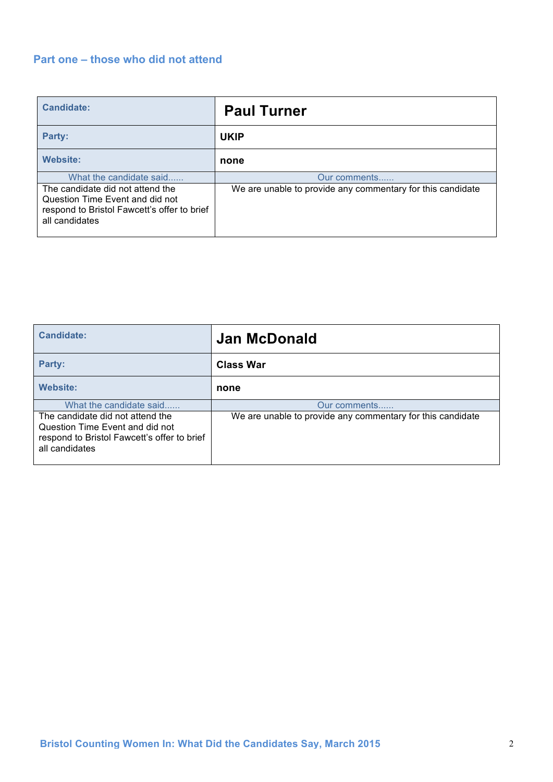# **Part one – those who did not attend**

| <b>Candidate:</b>                                                                                                                    | <b>Paul Turner</b>                                         |
|--------------------------------------------------------------------------------------------------------------------------------------|------------------------------------------------------------|
| Party:                                                                                                                               | <b>UKIP</b>                                                |
| <b>Website:</b>                                                                                                                      | none                                                       |
| What the candidate said                                                                                                              | Our comments                                               |
| The candidate did not attend the<br>Question Time Event and did not<br>respond to Bristol Fawcett's offer to brief<br>all candidates | We are unable to provide any commentary for this candidate |

| Candidate:                                                                                                                           | <b>Jan McDonald</b>                                        |
|--------------------------------------------------------------------------------------------------------------------------------------|------------------------------------------------------------|
| Party:                                                                                                                               | <b>Class War</b>                                           |
| <b>Website:</b>                                                                                                                      | none                                                       |
| What the candidate said                                                                                                              | Our comments                                               |
| The candidate did not attend the<br>Question Time Event and did not<br>respond to Bristol Fawcett's offer to brief<br>all candidates | We are unable to provide any commentary for this candidate |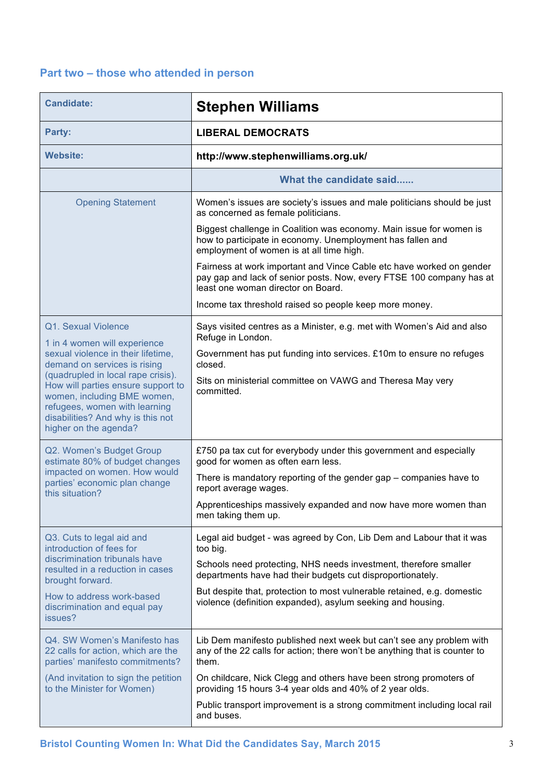# **Part two – those who attended in person**

| <b>Candidate:</b>                                                                                                                                                                                      | <b>Stephen Williams</b>                                                                                                                                                            |
|--------------------------------------------------------------------------------------------------------------------------------------------------------------------------------------------------------|------------------------------------------------------------------------------------------------------------------------------------------------------------------------------------|
| Party:                                                                                                                                                                                                 | <b>LIBERAL DEMOCRATS</b>                                                                                                                                                           |
| <b>Website:</b>                                                                                                                                                                                        | http://www.stephenwilliams.org.uk/                                                                                                                                                 |
|                                                                                                                                                                                                        | What the candidate said                                                                                                                                                            |
| <b>Opening Statement</b>                                                                                                                                                                               | Women's issues are society's issues and male politicians should be just<br>as concerned as female politicians.                                                                     |
|                                                                                                                                                                                                        | Biggest challenge in Coalition was economy. Main issue for women is<br>how to participate in economy. Unemployment has fallen and<br>employment of women is at all time high.      |
|                                                                                                                                                                                                        | Fairness at work important and Vince Cable etc have worked on gender<br>pay gap and lack of senior posts. Now, every FTSE 100 company has at<br>least one woman director on Board. |
|                                                                                                                                                                                                        | Income tax threshold raised so people keep more money.                                                                                                                             |
| Q1. Sexual Violence                                                                                                                                                                                    | Says visited centres as a Minister, e.g. met with Women's Aid and also<br>Refuge in London.                                                                                        |
| 1 in 4 women will experience<br>sexual violence in their lifetime.<br>demand on services is rising                                                                                                     | Government has put funding into services. £10m to ensure no refuges<br>closed.                                                                                                     |
| (quadrupled in local rape crisis).<br>How will parties ensure support to<br>women, including BME women,<br>refugees, women with learning<br>disabilities? And why is this not<br>higher on the agenda? | Sits on ministerial committee on VAWG and Theresa May very<br>committed.                                                                                                           |
| Q2. Women's Budget Group<br>estimate 80% of budget changes<br>impacted on women. How would<br>parties' economic plan change<br>this situation?                                                         | £750 pa tax cut for everybody under this government and especially<br>good for women as often earn less.                                                                           |
|                                                                                                                                                                                                        | There is mandatory reporting of the gender gap – companies have to<br>report average wages.                                                                                        |
|                                                                                                                                                                                                        | Apprenticeships massively expanded and now have more women than<br>men taking them up.                                                                                             |
| Q3. Cuts to legal aid and<br>introduction of fees for                                                                                                                                                  | Legal aid budget - was agreed by Con, Lib Dem and Labour that it was<br>too big.                                                                                                   |
| discrimination tribunals have<br>resulted in a reduction in cases<br>brought forward.                                                                                                                  | Schools need protecting, NHS needs investment, therefore smaller<br>departments have had their budgets cut disproportionately.                                                     |
| How to address work-based<br>discrimination and equal pay<br>issues?                                                                                                                                   | But despite that, protection to most vulnerable retained, e.g. domestic<br>violence (definition expanded), asylum seeking and housing.                                             |
| Q4. SW Women's Manifesto has<br>22 calls for action, which are the<br>parties' manifesto commitments?                                                                                                  | Lib Dem manifesto published next week but can't see any problem with<br>any of the 22 calls for action; there won't be anything that is counter to<br>them.                        |
| (And invitation to sign the petition<br>to the Minister for Women)                                                                                                                                     | On childcare, Nick Clegg and others have been strong promoters of<br>providing 15 hours 3-4 year olds and 40% of 2 year olds.                                                      |
|                                                                                                                                                                                                        | Public transport improvement is a strong commitment including local rail<br>and buses.                                                                                             |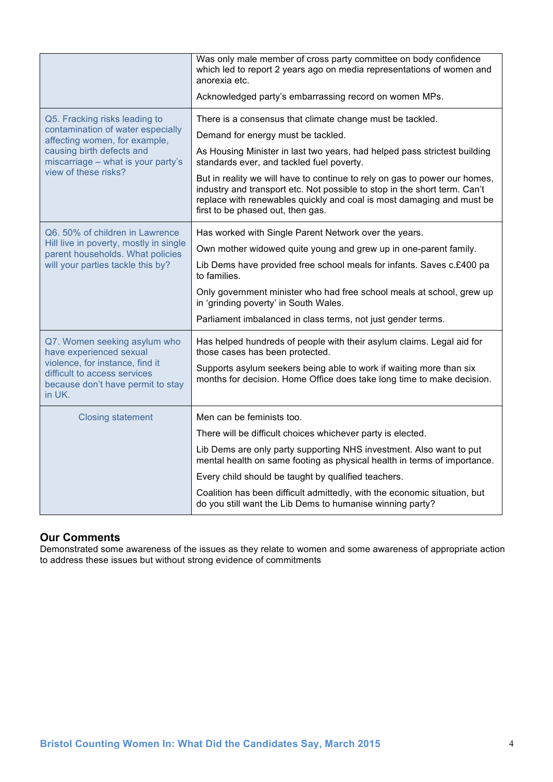|                                                                                                                                                                           | Was only male member of cross party committee on body confidence<br>which led to report 2 years ago on media representations of women and<br>anorexia etc.<br>Acknowledged party's embarrassing record on women MPs.                                                  |
|---------------------------------------------------------------------------------------------------------------------------------------------------------------------------|-----------------------------------------------------------------------------------------------------------------------------------------------------------------------------------------------------------------------------------------------------------------------|
|                                                                                                                                                                           |                                                                                                                                                                                                                                                                       |
| Q5. Fracking risks leading to<br>contamination of water especially                                                                                                        | There is a consensus that climate change must be tackled.                                                                                                                                                                                                             |
| affecting women, for example,                                                                                                                                             | Demand for energy must be tackled.                                                                                                                                                                                                                                    |
| causing birth defects and<br>miscarriage - what is your party's                                                                                                           | As Housing Minister in last two years, had helped pass strictest building<br>standards ever, and tackled fuel poverty.                                                                                                                                                |
| view of these risks?                                                                                                                                                      | But in reality we will have to continue to rely on gas to power our homes,<br>industry and transport etc. Not possible to stop in the short term. Can't<br>replace with renewables quickly and coal is most damaging and must be<br>first to be phased out, then gas. |
| Q6. 50% of children in Lawrence                                                                                                                                           | Has worked with Single Parent Network over the years.                                                                                                                                                                                                                 |
| Hill live in poverty, mostly in single<br>parent households. What policies                                                                                                | Own mother widowed quite young and grew up in one-parent family.                                                                                                                                                                                                      |
| will your parties tackle this by?                                                                                                                                         | Lib Dems have provided free school meals for infants. Saves c.£400 pa<br>to families.                                                                                                                                                                                 |
|                                                                                                                                                                           | Only government minister who had free school meals at school, grew up<br>in 'grinding poverty' in South Wales.                                                                                                                                                        |
|                                                                                                                                                                           | Parliament imbalanced in class terms, not just gender terms.                                                                                                                                                                                                          |
| Q7. Women seeking asylum who<br>have experienced sexual<br>violence, for instance, find it<br>difficult to access services<br>because don't have permit to stay<br>in UK. | Has helped hundreds of people with their asylum claims. Legal aid for<br>those cases has been protected.                                                                                                                                                              |
|                                                                                                                                                                           | Supports asylum seekers being able to work if waiting more than six<br>months for decision. Home Office does take long time to make decision.                                                                                                                         |
| <b>Closing statement</b>                                                                                                                                                  | Men can be feminists too.                                                                                                                                                                                                                                             |
|                                                                                                                                                                           | There will be difficult choices whichever party is elected.                                                                                                                                                                                                           |
|                                                                                                                                                                           | Lib Dems are only party supporting NHS investment. Also want to put<br>mental health on same footing as physical health in terms of importance.                                                                                                                       |
|                                                                                                                                                                           | Every child should be taught by qualified teachers.                                                                                                                                                                                                                   |
|                                                                                                                                                                           | Coalition has been difficult admittedly, with the economic situation, but<br>do you still want the Lib Dems to humanise winning party?                                                                                                                                |

Demonstrated some awareness of the issues as they relate to women and some awareness of appropriate action to address these issues but without strong evidence of commitments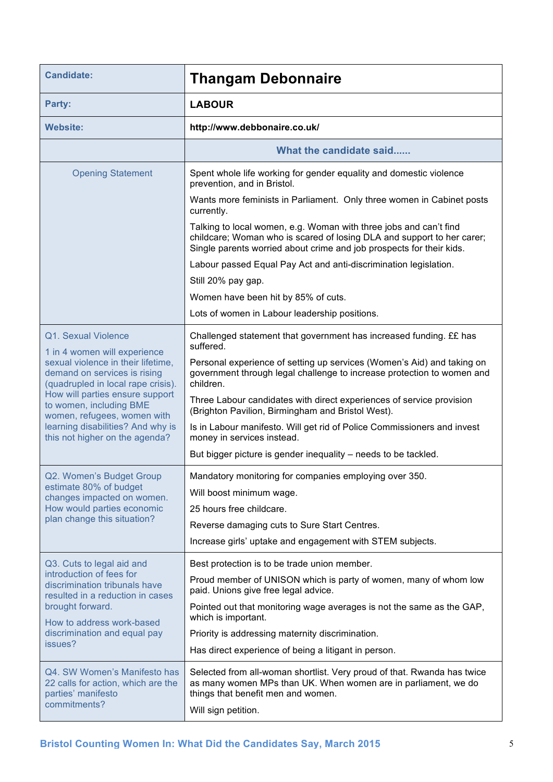| <b>Candidate:</b>                                                                                                                        | <b>Thangam Debonnaire</b>                                                                                                                                                                                           |
|------------------------------------------------------------------------------------------------------------------------------------------|---------------------------------------------------------------------------------------------------------------------------------------------------------------------------------------------------------------------|
| Party:                                                                                                                                   | <b>LABOUR</b>                                                                                                                                                                                                       |
| <b>Website:</b>                                                                                                                          | http://www.debbonaire.co.uk/                                                                                                                                                                                        |
|                                                                                                                                          | What the candidate said                                                                                                                                                                                             |
| <b>Opening Statement</b>                                                                                                                 | Spent whole life working for gender equality and domestic violence<br>prevention, and in Bristol.                                                                                                                   |
|                                                                                                                                          | Wants more feminists in Parliament. Only three women in Cabinet posts<br>currently.                                                                                                                                 |
|                                                                                                                                          | Talking to local women, e.g. Woman with three jobs and can't find<br>childcare; Woman who is scared of losing DLA and support to her carer;<br>Single parents worried about crime and job prospects for their kids. |
|                                                                                                                                          | Labour passed Equal Pay Act and anti-discrimination legislation.                                                                                                                                                    |
|                                                                                                                                          | Still 20% pay gap.                                                                                                                                                                                                  |
|                                                                                                                                          | Women have been hit by 85% of cuts.                                                                                                                                                                                 |
|                                                                                                                                          | Lots of women in Labour leadership positions.                                                                                                                                                                       |
| Q1. Sexual Violence                                                                                                                      | Challenged statement that government has increased funding. ££ has<br>suffered.                                                                                                                                     |
| 1 in 4 women will experience<br>sexual violence in their lifetime,<br>demand on services is rising<br>(quadrupled in local rape crisis). | Personal experience of setting up services (Women's Aid) and taking on<br>government through legal challenge to increase protection to women and<br>children.                                                       |
| How will parties ensure support<br>to women, including BME<br>women, refugees, women with                                                | Three Labour candidates with direct experiences of service provision<br>(Brighton Pavilion, Birmingham and Bristol West).                                                                                           |
| learning disabilities? And why is<br>this not higher on the agenda?                                                                      | Is in Labour manifesto. Will get rid of Police Commissioners and invest<br>money in services instead.                                                                                                               |
|                                                                                                                                          | But bigger picture is gender inequality – needs to be tackled.                                                                                                                                                      |
| Q2. Women's Budget Group                                                                                                                 | Mandatory monitoring for companies employing over 350.                                                                                                                                                              |
| estimate 80% of budget<br>changes impacted on women.                                                                                     | Will boost minimum wage.                                                                                                                                                                                            |
| How would parties economic                                                                                                               | 25 hours free childcare.                                                                                                                                                                                            |
| plan change this situation?                                                                                                              | Reverse damaging cuts to Sure Start Centres.                                                                                                                                                                        |
|                                                                                                                                          | Increase girls' uptake and engagement with STEM subjects.                                                                                                                                                           |
| Q3. Cuts to legal aid and                                                                                                                | Best protection is to be trade union member.                                                                                                                                                                        |
| introduction of fees for<br>discrimination tribunals have                                                                                | Proud member of UNISON which is party of women, many of whom low<br>paid. Unions give free legal advice.                                                                                                            |
| resulted in a reduction in cases<br>brought forward.                                                                                     | Pointed out that monitoring wage averages is not the same as the GAP,<br>which is important.                                                                                                                        |
| How to address work-based<br>discrimination and equal pay                                                                                | Priority is addressing maternity discrimination.                                                                                                                                                                    |
| issues?                                                                                                                                  | Has direct experience of being a litigant in person.                                                                                                                                                                |
|                                                                                                                                          |                                                                                                                                                                                                                     |
| Q4. SW Women's Manifesto has<br>22 calls for action, which are the<br>parties' manifesto                                                 | Selected from all-woman shortlist. Very proud of that. Rwanda has twice<br>as many women MPs than UK. When women are in parliament, we do<br>things that benefit men and women.                                     |
| commitments?                                                                                                                             | Will sign petition.                                                                                                                                                                                                 |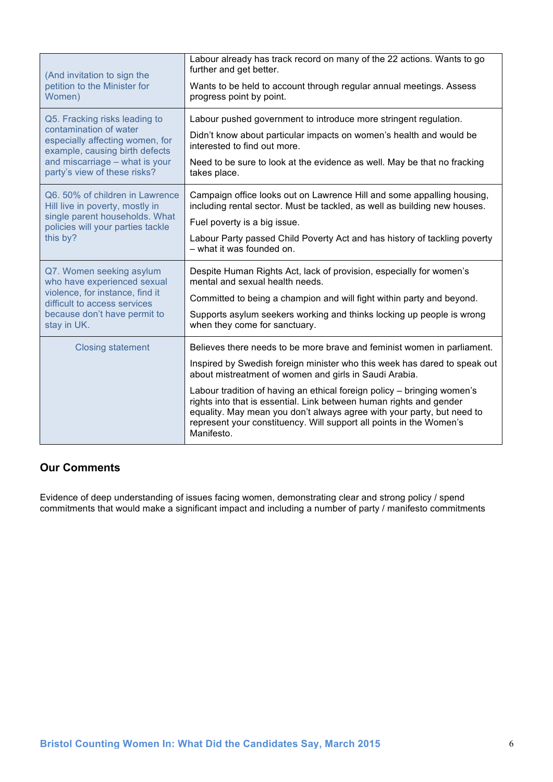| (And invitation to sign the<br>petition to the Minister for<br>Women)                                                                                                                          | Labour already has track record on many of the 22 actions. Wants to go<br>further and get better.<br>Wants to be held to account through regular annual meetings. Assess<br>progress point by point.                                                                                                                                                                                                                                                                                                                            |
|------------------------------------------------------------------------------------------------------------------------------------------------------------------------------------------------|---------------------------------------------------------------------------------------------------------------------------------------------------------------------------------------------------------------------------------------------------------------------------------------------------------------------------------------------------------------------------------------------------------------------------------------------------------------------------------------------------------------------------------|
| Q5. Fracking risks leading to<br>contamination of water<br>especially affecting women, for<br>example, causing birth defects<br>and miscarriage - what is your<br>party's view of these risks? | Labour pushed government to introduce more stringent regulation.<br>Didn't know about particular impacts on women's health and would be<br>interested to find out more.<br>Need to be sure to look at the evidence as well. May be that no fracking<br>takes place.                                                                                                                                                                                                                                                             |
| Q6. 50% of children in Lawrence<br>Hill live in poverty, mostly in<br>single parent households. What<br>policies will your parties tackle<br>this by?                                          | Campaign office looks out on Lawrence Hill and some appalling housing,<br>including rental sector. Must be tackled, as well as building new houses.<br>Fuel poverty is a big issue.<br>Labour Party passed Child Poverty Act and has history of tackling poverty<br>- what it was founded on.                                                                                                                                                                                                                                   |
| Q7. Women seeking asylum<br>who have experienced sexual<br>violence, for instance, find it<br>difficult to access services<br>because don't have permit to<br>stay in UK.                      | Despite Human Rights Act, lack of provision, especially for women's<br>mental and sexual health needs.<br>Committed to being a champion and will fight within party and beyond.<br>Supports asylum seekers working and thinks locking up people is wrong<br>when they come for sanctuary.                                                                                                                                                                                                                                       |
| <b>Closing statement</b>                                                                                                                                                                       | Believes there needs to be more brave and feminist women in parliament.<br>Inspired by Swedish foreign minister who this week has dared to speak out<br>about mistreatment of women and girls in Saudi Arabia.<br>Labour tradition of having an ethical foreign policy - bringing women's<br>rights into that is essential. Link between human rights and gender<br>equality. May mean you don't always agree with your party, but need to<br>represent your constituency. Will support all points in the Women's<br>Manifesto. |

Evidence of deep understanding of issues facing women, demonstrating clear and strong policy / spend commitments that would make a significant impact and including a number of party / manifesto commitments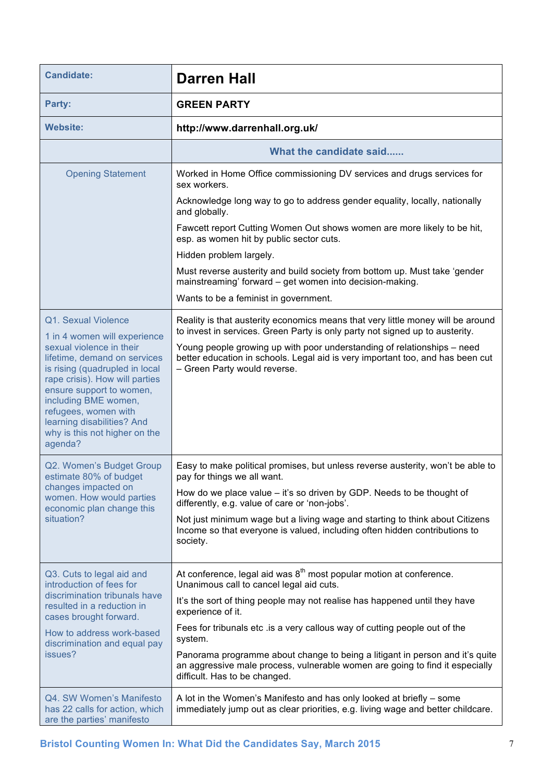| <b>Candidate:</b>                                                                                                                                                                                                                                                                  | <b>Darren Hall</b>                                                                                                                                                                            |
|------------------------------------------------------------------------------------------------------------------------------------------------------------------------------------------------------------------------------------------------------------------------------------|-----------------------------------------------------------------------------------------------------------------------------------------------------------------------------------------------|
| Party:                                                                                                                                                                                                                                                                             | <b>GREEN PARTY</b>                                                                                                                                                                            |
| <b>Website:</b>                                                                                                                                                                                                                                                                    | http://www.darrenhall.org.uk/                                                                                                                                                                 |
|                                                                                                                                                                                                                                                                                    | What the candidate said                                                                                                                                                                       |
| <b>Opening Statement</b>                                                                                                                                                                                                                                                           | Worked in Home Office commissioning DV services and drugs services for<br>sex workers.                                                                                                        |
|                                                                                                                                                                                                                                                                                    | Acknowledge long way to go to address gender equality, locally, nationally<br>and globally.                                                                                                   |
|                                                                                                                                                                                                                                                                                    | Fawcett report Cutting Women Out shows women are more likely to be hit,<br>esp. as women hit by public sector cuts.                                                                           |
|                                                                                                                                                                                                                                                                                    | Hidden problem largely.                                                                                                                                                                       |
|                                                                                                                                                                                                                                                                                    | Must reverse austerity and build society from bottom up. Must take 'gender<br>mainstreaming' forward - get women into decision-making.                                                        |
|                                                                                                                                                                                                                                                                                    | Wants to be a feminist in government.                                                                                                                                                         |
| Q1. Sexual Violence<br>1 in 4 women will experience                                                                                                                                                                                                                                | Reality is that austerity economics means that very little money will be around<br>to invest in services. Green Party is only party not signed up to austerity.                               |
| sexual violence in their<br>lifetime, demand on services<br>is rising (quadrupled in local<br>rape crisis). How will parties<br>ensure support to women,<br>including BME women,<br>refugees, women with<br>learning disabilities? And<br>why is this not higher on the<br>agenda? | Young people growing up with poor understanding of relationships – need<br>better education in schools. Legal aid is very important too, and has been cut<br>- Green Party would reverse.     |
| Q2. Women's Budget Group<br>estimate 80% of budget                                                                                                                                                                                                                                 | Easy to make political promises, but unless reverse austerity, won't be able to<br>pay for things we all want.                                                                                |
| changes impacted on<br>women. How would parties<br>economic plan change this                                                                                                                                                                                                       | How do we place value – it's so driven by GDP. Needs to be thought of<br>differently, e.g. value of care or 'non-jobs'.                                                                       |
| situation?                                                                                                                                                                                                                                                                         | Not just minimum wage but a living wage and starting to think about Citizens<br>Income so that everyone is valued, including often hidden contributions to<br>society.                        |
| Q3. Cuts to legal aid and<br>introduction of fees for<br>discrimination tribunals have<br>resulted in a reduction in<br>cases brought forward.                                                                                                                                     | At conference, legal aid was $8th$ most popular motion at conference.<br>Unanimous call to cancel legal aid cuts.                                                                             |
|                                                                                                                                                                                                                                                                                    | It's the sort of thing people may not realise has happened until they have<br>experience of it.                                                                                               |
| How to address work-based<br>discrimination and equal pay                                                                                                                                                                                                                          | Fees for tribunals etc .is a very callous way of cutting people out of the<br>system.                                                                                                         |
| issues?                                                                                                                                                                                                                                                                            | Panorama programme about change to being a litigant in person and it's quite<br>an aggressive male process, vulnerable women are going to find it especially<br>difficult. Has to be changed. |
| Q4. SW Women's Manifesto<br>has 22 calls for action, which<br>are the parties' manifesto                                                                                                                                                                                           | A lot in the Women's Manifesto and has only looked at briefly – some<br>immediately jump out as clear priorities, e.g. living wage and better childcare.                                      |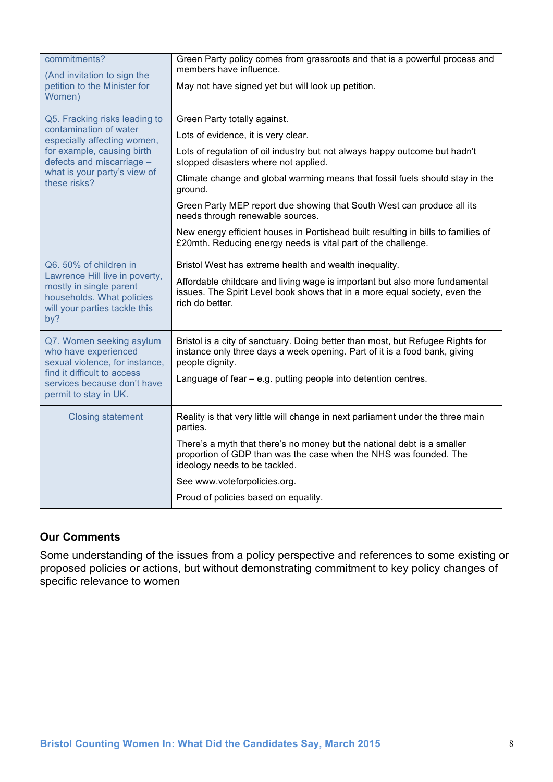| commitments?<br>(And invitation to sign the<br>petition to the Minister for<br>Women)                                                                                                             | Green Party policy comes from grassroots and that is a powerful process and<br>members have influence.<br>May not have signed yet but will look up petition.                                                                                                                                                                                                                                                                                                                                                                                             |
|---------------------------------------------------------------------------------------------------------------------------------------------------------------------------------------------------|----------------------------------------------------------------------------------------------------------------------------------------------------------------------------------------------------------------------------------------------------------------------------------------------------------------------------------------------------------------------------------------------------------------------------------------------------------------------------------------------------------------------------------------------------------|
| Q5. Fracking risks leading to<br>contamination of water<br>especially affecting women,<br>for example, causing birth<br>defects and miscarriage -<br>what is your party's view of<br>these risks? | Green Party totally against.<br>Lots of evidence, it is very clear.<br>Lots of regulation of oil industry but not always happy outcome but hadn't<br>stopped disasters where not applied.<br>Climate change and global warming means that fossil fuels should stay in the<br>ground.<br>Green Party MEP report due showing that South West can produce all its<br>needs through renewable sources.<br>New energy efficient houses in Portishead built resulting in bills to families of<br>£20mth. Reducing energy needs is vital part of the challenge. |
| Q6. 50% of children in<br>Lawrence Hill live in poverty,<br>mostly in single parent<br>households. What policies<br>will your parties tackle this<br>by?                                          | Bristol West has extreme health and wealth inequality.<br>Affordable childcare and living wage is important but also more fundamental<br>issues. The Spirit Level book shows that in a more equal society, even the<br>rich do better.                                                                                                                                                                                                                                                                                                                   |
| Q7. Women seeking asylum<br>who have experienced<br>sexual violence, for instance,<br>find it difficult to access<br>services because don't have<br>permit to stay in UK.                         | Bristol is a city of sanctuary. Doing better than most, but Refugee Rights for<br>instance only three days a week opening. Part of it is a food bank, giving<br>people dignity.<br>Language of fear - e.g. putting people into detention centres.                                                                                                                                                                                                                                                                                                        |
| <b>Closing statement</b>                                                                                                                                                                          | Reality is that very little will change in next parliament under the three main<br>parties.<br>There's a myth that there's no money but the national debt is a smaller<br>proportion of GDP than was the case when the NHS was founded. The<br>ideology needs to be tackled.<br>See www.voteforpolicies.org.<br>Proud of policies based on equality.                                                                                                                                                                                                     |

Some understanding of the issues from a policy perspective and references to some existing or proposed policies or actions, but without demonstrating commitment to key policy changes of specific relevance to women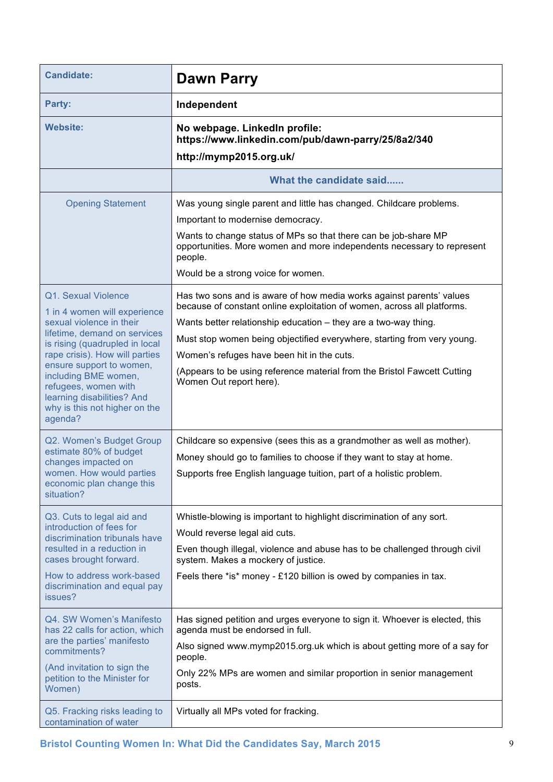| <b>Candidate:</b>                                                                                                                                                                                                                                                                                                                         | <b>Dawn Parry</b>                                                                                                                                                                                                                                                                                                                                                                                                                                  |
|-------------------------------------------------------------------------------------------------------------------------------------------------------------------------------------------------------------------------------------------------------------------------------------------------------------------------------------------|----------------------------------------------------------------------------------------------------------------------------------------------------------------------------------------------------------------------------------------------------------------------------------------------------------------------------------------------------------------------------------------------------------------------------------------------------|
| Party:                                                                                                                                                                                                                                                                                                                                    | Independent                                                                                                                                                                                                                                                                                                                                                                                                                                        |
| <b>Website:</b>                                                                                                                                                                                                                                                                                                                           | No webpage. LinkedIn profile:<br>https://www.linkedin.com/pub/dawn-parry/25/8a2/340<br>http://mymp2015.org.uk/                                                                                                                                                                                                                                                                                                                                     |
|                                                                                                                                                                                                                                                                                                                                           | What the candidate said                                                                                                                                                                                                                                                                                                                                                                                                                            |
| <b>Opening Statement</b>                                                                                                                                                                                                                                                                                                                  | Was young single parent and little has changed. Childcare problems.<br>Important to modernise democracy.<br>Wants to change status of MPs so that there can be job-share MP<br>opportunities. More women and more independents necessary to represent<br>people.<br>Would be a strong voice for women.                                                                                                                                             |
| Q1. Sexual Violence<br>1 in 4 women will experience<br>sexual violence in their<br>lifetime, demand on services<br>is rising (quadrupled in local<br>rape crisis). How will parties<br>ensure support to women,<br>including BME women,<br>refugees, women with<br>learning disabilities? And<br>why is this not higher on the<br>agenda? | Has two sons and is aware of how media works against parents' values<br>because of constant online exploitation of women, across all platforms.<br>Wants better relationship education - they are a two-way thing.<br>Must stop women being objectified everywhere, starting from very young.<br>Women's refuges have been hit in the cuts.<br>(Appears to be using reference material from the Bristol Fawcett Cutting<br>Women Out report here). |
| Q2. Women's Budget Group<br>estimate 80% of budget<br>changes impacted on<br>women. How would parties<br>economic plan change this<br>situation?                                                                                                                                                                                          | Childcare so expensive (sees this as a grandmother as well as mother).<br>Money should go to families to choose if they want to stay at home.<br>Supports free English language tuition, part of a holistic problem.                                                                                                                                                                                                                               |
| Q3. Cuts to legal aid and<br>introduction of fees for<br>discrimination tribunals have<br>resulted in a reduction in<br>cases brought forward.<br>How to address work-based<br>discrimination and equal pay<br>issues?                                                                                                                    | Whistle-blowing is important to highlight discrimination of any sort.<br>Would reverse legal aid cuts.<br>Even though illegal, violence and abuse has to be challenged through civil<br>system. Makes a mockery of justice.<br>Feels there *is* money - £120 billion is owed by companies in tax.                                                                                                                                                  |
| Q4. SW Women's Manifesto<br>has 22 calls for action, which<br>are the parties' manifesto<br>commitments?<br>(And invitation to sign the<br>petition to the Minister for<br>Women)                                                                                                                                                         | Has signed petition and urges everyone to sign it. Whoever is elected, this<br>agenda must be endorsed in full.<br>Also signed www.mymp2015.org.uk which is about getting more of a say for<br>people.<br>Only 22% MPs are women and similar proportion in senior management<br>posts.                                                                                                                                                             |
| Q5. Fracking risks leading to<br>contamination of water                                                                                                                                                                                                                                                                                   | Virtually all MPs voted for fracking.                                                                                                                                                                                                                                                                                                                                                                                                              |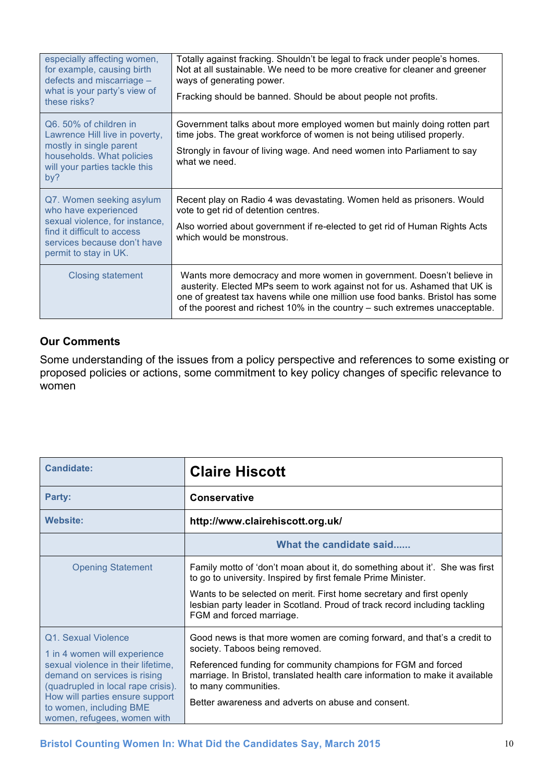| especially affecting women,<br>for example, causing birth<br>defects and miscarriage -<br>what is your party's view of<br>these risks?                                    | Totally against fracking. Shouldn't be legal to frack under people's homes.<br>Not at all sustainable. We need to be more creative for cleaner and greener<br>ways of generating power.<br>Fracking should be banned. Should be about people not profits.                                                           |
|---------------------------------------------------------------------------------------------------------------------------------------------------------------------------|---------------------------------------------------------------------------------------------------------------------------------------------------------------------------------------------------------------------------------------------------------------------------------------------------------------------|
| Q6.50% of children in<br>Lawrence Hill live in poverty,<br>mostly in single parent<br>households. What policies<br>will your parties tackle this<br>by?                   | Government talks about more employed women but mainly doing rotten part<br>time jobs. The great workforce of women is not being utilised properly.<br>Strongly in favour of living wage. And need women into Parliament to say<br>what we need.                                                                     |
| Q7. Women seeking asylum<br>who have experienced<br>sexual violence, for instance,<br>find it difficult to access<br>services because don't have<br>permit to stay in UK. | Recent play on Radio 4 was devastating. Women held as prisoners. Would<br>vote to get rid of detention centres.<br>Also worried about government if re-elected to get rid of Human Rights Acts<br>which would be monstrous.                                                                                         |
| Closing statement                                                                                                                                                         | Wants more democracy and more women in government. Doesn't believe in<br>austerity. Elected MPs seem to work against not for us. Ashamed that UK is<br>one of greatest tax havens while one million use food banks. Bristol has some<br>of the poorest and richest 10% in the country – such extremes unacceptable. |

Some understanding of the issues from a policy perspective and references to some existing or proposed policies or actions, some commitment to key policy changes of specific relevance to women

| <b>Candidate:</b>                                                                                                                                                                                                                                            | <b>Claire Hiscott</b>                                                                                                                                                                                                                                                                                                                     |
|--------------------------------------------------------------------------------------------------------------------------------------------------------------------------------------------------------------------------------------------------------------|-------------------------------------------------------------------------------------------------------------------------------------------------------------------------------------------------------------------------------------------------------------------------------------------------------------------------------------------|
| Party:                                                                                                                                                                                                                                                       | <b>Conservative</b>                                                                                                                                                                                                                                                                                                                       |
| <b>Website:</b>                                                                                                                                                                                                                                              | http://www.clairehiscott.org.uk/                                                                                                                                                                                                                                                                                                          |
|                                                                                                                                                                                                                                                              | What the candidate said                                                                                                                                                                                                                                                                                                                   |
| <b>Opening Statement</b>                                                                                                                                                                                                                                     | Family motto of 'don't moan about it, do something about it'. She was first<br>to go to university. Inspired by first female Prime Minister.<br>Wants to be selected on merit. First home secretary and first openly<br>lesbian party leader in Scotland. Proud of track record including tackling<br>FGM and forced marriage.            |
| Q1. Sexual Violence<br>1 in 4 women will experience<br>sexual violence in their lifetime,<br>demand on services is rising<br>(quadrupled in local rape crisis).<br>How will parties ensure support<br>to women, including BME<br>women, refugees, women with | Good news is that more women are coming forward, and that's a credit to<br>society. Taboos being removed.<br>Referenced funding for community champions for FGM and forced<br>marriage. In Bristol, translated health care information to make it available<br>to many communities.<br>Better awareness and adverts on abuse and consent. |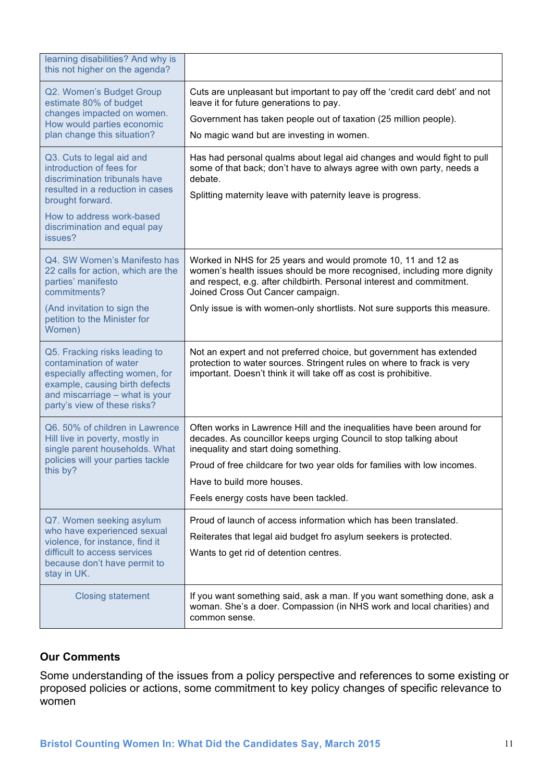| learning disabilities? And why is<br>this not higher on the agenda?                                                                                                                            |                                                                                                                                                                                                                                                        |
|------------------------------------------------------------------------------------------------------------------------------------------------------------------------------------------------|--------------------------------------------------------------------------------------------------------------------------------------------------------------------------------------------------------------------------------------------------------|
| Q2. Women's Budget Group<br>estimate 80% of budget<br>changes impacted on women.                                                                                                               | Cuts are unpleasant but important to pay off the 'credit card debt' and not<br>leave it for future generations to pay.<br>Government has taken people out of taxation (25 million people).                                                             |
| How would parties economic<br>plan change this situation?                                                                                                                                      | No magic wand but are investing in women.                                                                                                                                                                                                              |
| Q3. Cuts to legal aid and<br>introduction of fees for<br>discrimination tribunals have<br>resulted in a reduction in cases<br>brought forward.                                                 | Has had personal qualms about legal aid changes and would fight to pull<br>some of that back; don't have to always agree with own party, needs a<br>debate.<br>Splitting maternity leave with paternity leave is progress.                             |
| How to address work-based<br>discrimination and equal pay<br>issues?                                                                                                                           |                                                                                                                                                                                                                                                        |
| Q4. SW Women's Manifesto has<br>22 calls for action, which are the<br>parties' manifesto<br>commitments?                                                                                       | Worked in NHS for 25 years and would promote 10, 11 and 12 as<br>women's health issues should be more recognised, including more dignity<br>and respect, e.g. after childbirth. Personal interest and commitment.<br>Joined Cross Out Cancer campaign. |
| (And invitation to sign the<br>petition to the Minister for<br>Women)                                                                                                                          | Only issue is with women-only shortlists. Not sure supports this measure.                                                                                                                                                                              |
| Q5. Fracking risks leading to<br>contamination of water<br>especially affecting women, for<br>example, causing birth defects<br>and miscarriage - what is your<br>party's view of these risks? | Not an expert and not preferred choice, but government has extended<br>protection to water sources. Stringent rules on where to frack is very<br>important. Doesn't think it will take off as cost is prohibitive.                                     |
| Q6. 50% of children in Lawrence<br>Hill live in poverty, mostly in<br>single parent households. What                                                                                           | Often works in Lawrence Hill and the inequalities have been around for<br>decades. As councillor keeps urging Council to stop talking about<br>inequality and start doing something.                                                                   |
| policies will your parties tackle<br>this by?                                                                                                                                                  | Proud of free childcare for two year olds for families with low incomes.                                                                                                                                                                               |
|                                                                                                                                                                                                | Have to build more houses.                                                                                                                                                                                                                             |
|                                                                                                                                                                                                | Feels energy costs have been tackled.                                                                                                                                                                                                                  |
| Q7. Women seeking asylum<br>who have experienced sexual                                                                                                                                        | Proud of launch of access information which has been translated.                                                                                                                                                                                       |
| violence, for instance, find it<br>difficult to access services<br>because don't have permit to<br>stay in UK.                                                                                 | Reiterates that legal aid budget fro asylum seekers is protected.<br>Wants to get rid of detention centres.                                                                                                                                            |
| <b>Closing statement</b>                                                                                                                                                                       | If you want something said, ask a man. If you want something done, ask a<br>woman. She's a doer. Compassion (in NHS work and local charities) and<br>common sense.                                                                                     |

Some understanding of the issues from a policy perspective and references to some existing or proposed policies or actions, some commitment to key policy changes of specific relevance to women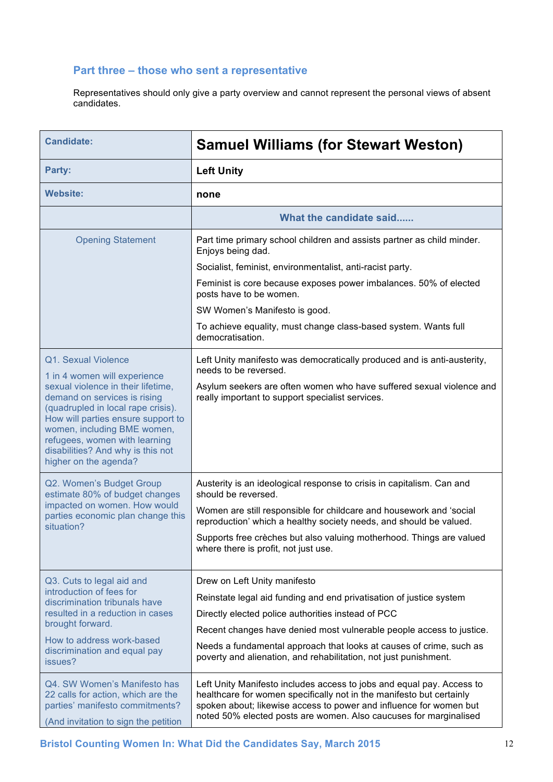#### **Part three – those who sent a representative**

Representatives should only give a party overview and cannot represent the personal views of absent candidates.

| <b>Candidate:</b>                                                                                                                                                                                      | <b>Samuel Williams (for Stewart Weston)</b>                                                                                                                                                                                                                                              |
|--------------------------------------------------------------------------------------------------------------------------------------------------------------------------------------------------------|------------------------------------------------------------------------------------------------------------------------------------------------------------------------------------------------------------------------------------------------------------------------------------------|
| Party:                                                                                                                                                                                                 | <b>Left Unity</b>                                                                                                                                                                                                                                                                        |
| <b>Website:</b>                                                                                                                                                                                        | none                                                                                                                                                                                                                                                                                     |
|                                                                                                                                                                                                        | What the candidate said                                                                                                                                                                                                                                                                  |
| <b>Opening Statement</b>                                                                                                                                                                               | Part time primary school children and assists partner as child minder.<br>Enjoys being dad.                                                                                                                                                                                              |
|                                                                                                                                                                                                        | Socialist, feminist, environmentalist, anti-racist party.                                                                                                                                                                                                                                |
|                                                                                                                                                                                                        | Feminist is core because exposes power imbalances. 50% of elected<br>posts have to be women.                                                                                                                                                                                             |
|                                                                                                                                                                                                        | SW Women's Manifesto is good.                                                                                                                                                                                                                                                            |
|                                                                                                                                                                                                        | To achieve equality, must change class-based system. Wants full<br>democratisation.                                                                                                                                                                                                      |
| Q1. Sexual Violence<br>1 in 4 women will experience<br>sexual violence in their lifetime,<br>demand on services is rising                                                                              | Left Unity manifesto was democratically produced and is anti-austerity,<br>needs to be reversed.<br>Asylum seekers are often women who have suffered sexual violence and<br>really important to support specialist services.                                                             |
| (quadrupled in local rape crisis).<br>How will parties ensure support to<br>women, including BME women,<br>refugees, women with learning<br>disabilities? And why is this not<br>higher on the agenda? |                                                                                                                                                                                                                                                                                          |
| Q2. Women's Budget Group<br>estimate 80% of budget changes                                                                                                                                             | Austerity is an ideological response to crisis in capitalism. Can and<br>should be reversed.                                                                                                                                                                                             |
| impacted on women. How would<br>parties economic plan change this<br>situation?                                                                                                                        | Women are still responsible for childcare and housework and 'social<br>reproduction' which a healthy society needs, and should be valued.                                                                                                                                                |
|                                                                                                                                                                                                        | Supports free crèches but also valuing motherhood. Things are valued<br>where there is profit, not just use.                                                                                                                                                                             |
| Q3. Cuts to legal aid and                                                                                                                                                                              | Drew on Left Unity manifesto                                                                                                                                                                                                                                                             |
| introduction of fees for<br>discrimination tribunals have                                                                                                                                              | Reinstate legal aid funding and end privatisation of justice system                                                                                                                                                                                                                      |
| resulted in a reduction in cases<br>brought forward.                                                                                                                                                   | Directly elected police authorities instead of PCC                                                                                                                                                                                                                                       |
| How to address work-based                                                                                                                                                                              | Recent changes have denied most vulnerable people access to justice.                                                                                                                                                                                                                     |
| discrimination and equal pay<br>issues?                                                                                                                                                                | Needs a fundamental approach that looks at causes of crime, such as<br>poverty and alienation, and rehabilitation, not just punishment.                                                                                                                                                  |
| Q4. SW Women's Manifesto has<br>22 calls for action, which are the<br>parties' manifesto commitments?<br>(And invitation to sign the petition                                                          | Left Unity Manifesto includes access to jobs and equal pay. Access to<br>healthcare for women specifically not in the manifesto but certainly<br>spoken about; likewise access to power and influence for women but<br>noted 50% elected posts are women. Also caucuses for marginalised |